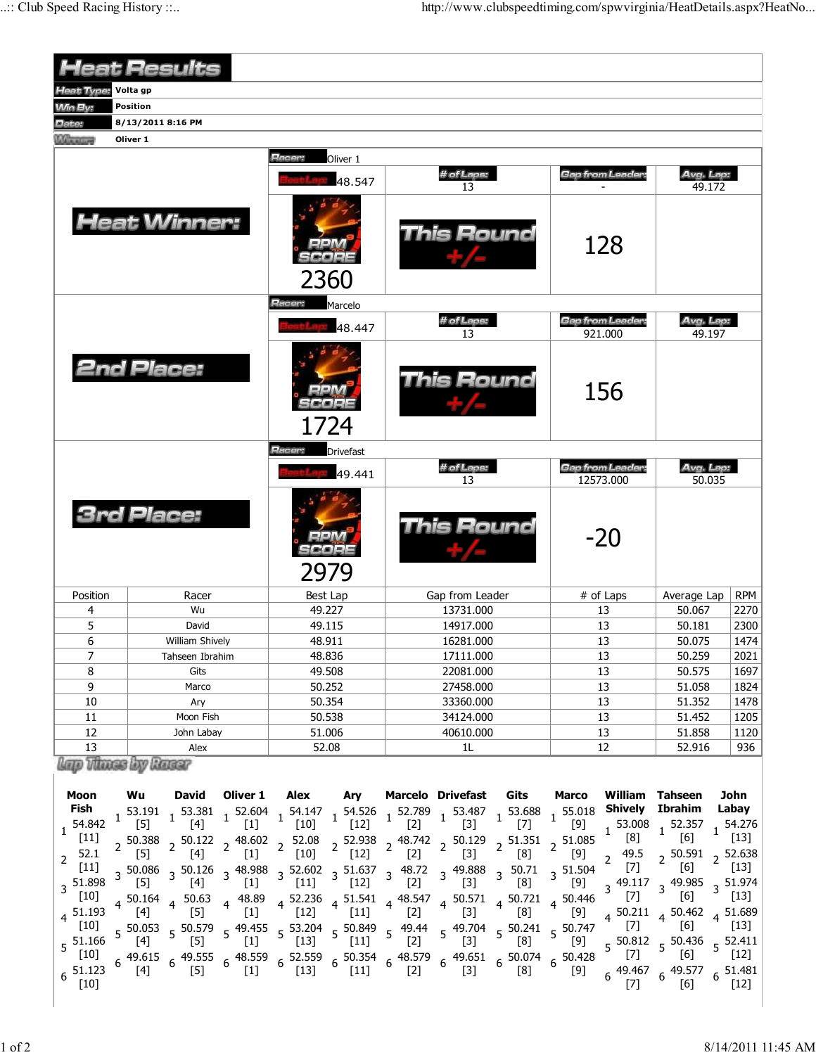|                                             |                                                                                         | Racer:                                                                                                                                                                 |                  |                                                                                                                                                              |       |                |                                                                                                                                                                                                                                                                                                                                         |                                                                                                                                                                                                                                                                                                                                                                                                                                                                                                                                                                                        |                                                                                                     |                                                                                                                                  |
|---------------------------------------------|-----------------------------------------------------------------------------------------|------------------------------------------------------------------------------------------------------------------------------------------------------------------------|------------------|--------------------------------------------------------------------------------------------------------------------------------------------------------------|-------|----------------|-----------------------------------------------------------------------------------------------------------------------------------------------------------------------------------------------------------------------------------------------------------------------------------------------------------------------------------------|----------------------------------------------------------------------------------------------------------------------------------------------------------------------------------------------------------------------------------------------------------------------------------------------------------------------------------------------------------------------------------------------------------------------------------------------------------------------------------------------------------------------------------------------------------------------------------------|-----------------------------------------------------------------------------------------------------|----------------------------------------------------------------------------------------------------------------------------------|
|                                             |                                                                                         |                                                                                                                                                                        | 48.547           | # of Laps:                                                                                                                                                   |       |                | <b>Gap from Leader:</b>                                                                                                                                                                                                                                                                                                                 |                                                                                                                                                                                                                                                                                                                                                                                                                                                                                                                                                                                        | Avg. Lap:<br>49.172                                                                                 |                                                                                                                                  |
|                                             | 2360                                                                                    |                                                                                                                                                                        |                  | <b>This Round</b>                                                                                                                                            |       |                |                                                                                                                                                                                                                                                                                                                                         |                                                                                                                                                                                                                                                                                                                                                                                                                                                                                                                                                                                        |                                                                                                     |                                                                                                                                  |
|                                             |                                                                                         | Hacer:                                                                                                                                                                 |                  |                                                                                                                                                              |       |                |                                                                                                                                                                                                                                                                                                                                         |                                                                                                                                                                                                                                                                                                                                                                                                                                                                                                                                                                                        |                                                                                                     |                                                                                                                                  |
|                                             |                                                                                         | 48.447                                                                                                                                                                 |                  |                                                                                                                                                              |       |                | <b>Gap from Leader:</b><br>921.000                                                                                                                                                                                                                                                                                                      |                                                                                                                                                                                                                                                                                                                                                                                                                                                                                                                                                                                        | Avg. Lap:<br>49.197                                                                                 |                                                                                                                                  |
| <b>2nd Place:</b>                           |                                                                                         |                                                                                                                                                                        |                  | This Round                                                                                                                                                   |       |                | 156                                                                                                                                                                                                                                                                                                                                     |                                                                                                                                                                                                                                                                                                                                                                                                                                                                                                                                                                                        |                                                                                                     |                                                                                                                                  |
|                                             |                                                                                         | Racer:                                                                                                                                                                 | <b>Drivefast</b> |                                                                                                                                                              |       |                |                                                                                                                                                                                                                                                                                                                                         |                                                                                                                                                                                                                                                                                                                                                                                                                                                                                                                                                                                        |                                                                                                     |                                                                                                                                  |
|                                             |                                                                                         |                                                                                                                                                                        |                  |                                                                                                                                                              |       |                |                                                                                                                                                                                                                                                                                                                                         |                                                                                                                                                                                                                                                                                                                                                                                                                                                                                                                                                                                        | Avg. Lap:                                                                                           |                                                                                                                                  |
| <b>3rd Place:</b>                           |                                                                                         |                                                                                                                                                                        |                  | This Round                                                                                                                                                   |       |                | $-20$                                                                                                                                                                                                                                                                                                                                   |                                                                                                                                                                                                                                                                                                                                                                                                                                                                                                                                                                                        |                                                                                                     |                                                                                                                                  |
|                                             |                                                                                         | Best Lap                                                                                                                                                               |                  | Gap from Leader                                                                                                                                              |       |                | # of Laps                                                                                                                                                                                                                                                                                                                               |                                                                                                                                                                                                                                                                                                                                                                                                                                                                                                                                                                                        |                                                                                                     | <b>RPM</b>                                                                                                                       |
|                                             |                                                                                         |                                                                                                                                                                        |                  | 13731.000                                                                                                                                                    |       |                | 13                                                                                                                                                                                                                                                                                                                                      |                                                                                                                                                                                                                                                                                                                                                                                                                                                                                                                                                                                        | 50.067                                                                                              | 2270                                                                                                                             |
|                                             |                                                                                         |                                                                                                                                                                        |                  | 14917.000                                                                                                                                                    |       |                |                                                                                                                                                                                                                                                                                                                                         |                                                                                                                                                                                                                                                                                                                                                                                                                                                                                                                                                                                        | 50.181                                                                                              | 2300                                                                                                                             |
|                                             |                                                                                         |                                                                                                                                                                        |                  |                                                                                                                                                              |       |                |                                                                                                                                                                                                                                                                                                                                         |                                                                                                                                                                                                                                                                                                                                                                                                                                                                                                                                                                                        |                                                                                                     | 1474                                                                                                                             |
|                                             |                                                                                         |                                                                                                                                                                        |                  |                                                                                                                                                              |       |                |                                                                                                                                                                                                                                                                                                                                         |                                                                                                                                                                                                                                                                                                                                                                                                                                                                                                                                                                                        |                                                                                                     | 2021                                                                                                                             |
|                                             |                                                                                         |                                                                                                                                                                        |                  |                                                                                                                                                              |       |                |                                                                                                                                                                                                                                                                                                                                         |                                                                                                                                                                                                                                                                                                                                                                                                                                                                                                                                                                                        |                                                                                                     | 1697                                                                                                                             |
|                                             |                                                                                         |                                                                                                                                                                        |                  |                                                                                                                                                              |       |                |                                                                                                                                                                                                                                                                                                                                         |                                                                                                                                                                                                                                                                                                                                                                                                                                                                                                                                                                                        |                                                                                                     | 1824<br>1478                                                                                                                     |
|                                             |                                                                                         |                                                                                                                                                                        |                  |                                                                                                                                                              |       |                |                                                                                                                                                                                                                                                                                                                                         |                                                                                                                                                                                                                                                                                                                                                                                                                                                                                                                                                                                        |                                                                                                     | 1205                                                                                                                             |
|                                             |                                                                                         |                                                                                                                                                                        |                  |                                                                                                                                                              |       |                |                                                                                                                                                                                                                                                                                                                                         |                                                                                                                                                                                                                                                                                                                                                                                                                                                                                                                                                                                        |                                                                                                     | 1120                                                                                                                             |
|                                             |                                                                                         |                                                                                                                                                                        |                  |                                                                                                                                                              | 1L    |                |                                                                                                                                                                                                                                                                                                                                         |                                                                                                                                                                                                                                                                                                                                                                                                                                                                                                                                                                                        | 52.916                                                                                              | 936                                                                                                                              |
|                                             |                                                                                         |                                                                                                                                                                        |                  |                                                                                                                                                              |       |                |                                                                                                                                                                                                                                                                                                                                         |                                                                                                                                                                                                                                                                                                                                                                                                                                                                                                                                                                                        |                                                                                                     |                                                                                                                                  |
|                                             |                                                                                         |                                                                                                                                                                        |                  |                                                                                                                                                              |       |                | [9]                                                                                                                                                                                                                                                                                                                                     | $1^{53.008}$<br>[8]<br>49.5<br>$\overline{2}$                                                                                                                                                                                                                                                                                                                                                                                                                                                                                                                                          | <b>Ibrahim</b><br>$1\,$ 52.357<br>[6]<br>$2^{50.591}$                                               | John<br>Labay<br>154.276<br>$[13]$<br><sup>2</sup> 52.638                                                                        |
| $[4]$<br>$\lfloor 5 \rfloor$<br>$4\,50.164$ | $[1]$<br>50.63<br>4 48.89                                                               | $[11]$                                                                                                                                                                 | $[12]$           | $[2]$<br>4 52.236 4 51.541 4 48.547<br>[12] $[11]$ 4 $[2]$                                                                                                   | $[3]$ | [8]            | $[9]$<br>$4\begin{array}{cccc} 50.571 & 4 & 50.721 & 4 & 50.446 \\ -22 & 4 & 5 & 4 & 5 & 5 \end{array}$                                                                                                                                                                                                                                 | $3^{49.117}$<br>$[7]$                                                                                                                                                                                                                                                                                                                                                                                                                                                                                                                                                                  | 3 49.985<br>[6]                                                                                     | $\lfloor 13 \rfloor$<br>3 51.974<br>$\lfloor 13 \rfloor$                                                                         |
|                                             | Volta qp<br>Position<br>8/13/2011 8:16 PM<br>Oliver 1<br>Wu<br>lap Those by Rassr<br>Wu | <b>Heat Results</b><br><b>Heat Winner:</b><br>Racer<br>David<br>William Shively<br>Tahseen Ibrahim<br>Gits<br>Marco<br>Ary<br>Moon Fish<br>John Labay<br>Alex<br>David | Oliver 1         | Oliver 1<br>Marcelo<br>1724<br>49.441<br>2979<br>49.227<br>49.115<br>48.911<br>48.836<br>49.508<br>50.252<br>50.354<br>50.538<br>51.006<br>52.08<br>Alex Ary |       | 13<br>13<br>13 | # of Laps:<br># of Laps:<br>16281.000<br>17111.000<br>22081.000<br>27458.000<br>33360.000<br>34124.000<br>40610.000<br><b>Marcelo Drivefast</b><br>Gits<br>$3\frac{50.086}{50}$ $3\frac{50.126}{130}$ $3\frac{48.988}{131}$ $3\frac{52.602}{131}$ $3\frac{51.637}{131}$ $3\frac{48.72}{131}$ $3\frac{49.888}{131}$ $3\frac{50.71}{131}$ | <b>Marco</b><br>$\ 1 \quad \  1 \quad \  53.191 \quad \  1 \quad \  53.381 \quad \  1 \quad \  52.604 \quad \  1 \quad \  54.147 \quad \  1 \quad \  54.526 \quad \  1 \quad \  52.789 \quad \  1 \quad \  \  53.487 \quad \  1 \quad \  53.688 \quad \  1 \quad \  55.018 \quad \  \  (5) \qquad \quad \  [4] \qquad \quad \  [1] \qquad \quad \  [10] \qquad \quad \  [12] \qquad \quad \  [2] \$<br>2 50.388  2 50.122  2 48.602  2 52.08  2 52.938  2 48.742  2 50.129  2 51.351  2 51.085<br>[5]  2 [4]  2 [1]  2 [10]  2 [12]  2 [2]  2 [3]  2 [8]  2 [9]<br>$3\frac{51.504}{2}$ | 128<br>Gap from Leader:<br>12573.000<br>13<br>13<br>13<br>13<br>13<br>13<br>13<br>13<br>12<br>$[7]$ | 50.035<br>Average Lap<br>50.075<br>50.259<br>50.575<br>51.058<br>51.352<br>51.452<br>51.858<br>William Tahseen<br>Shively<br>[6] |